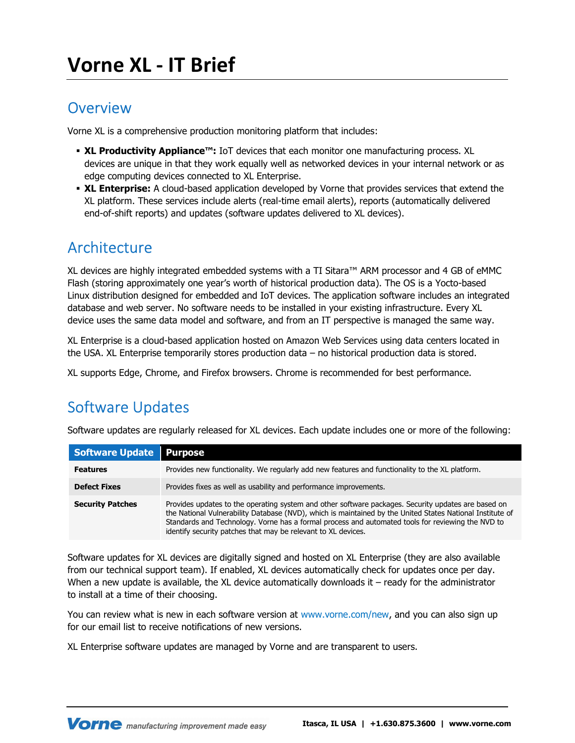### **Overview**

Vorne XL is a comprehensive production monitoring platform that includes:

- XL Productivity Appliance™: IoT devices that each monitor one manufacturing process. XL devices are unique in that they work equally well as networked devices in your internal network or as edge computing devices connected to XL Enterprise.
- **XL Enterprise:** A cloud-based application developed by Vorne that provides services that extend the XL platform. These services include alerts (real-time email alerts), reports (automatically delivered end-of-shift reports) and updates (software updates delivered to XL devices).

## Architecture

XL devices are highly integrated embedded systems with a TI Sitara™ ARM processor and 4 GB of eMMC Flash (storing approximately one year's worth of historical production data). The OS is a Yocto-based Linux distribution designed for embedded and IoT devices. The application software includes an integrated database and web server. No software needs to be installed in your existing infrastructure. Every XL device uses the same data model and software, and from an IT perspective is managed the same way.

XL Enterprise is a cloud-based application hosted on Amazon Web Services using data centers located in the USA. XL Enterprise temporarily stores production data – no historical production data is stored.

XL supports Edge, Chrome, and Firefox browsers. Chrome is recommended for best performance.

# Software Updates

Software updates are regularly released for XL devices. Each update includes one or more of the following:

| <b>Software Update</b>  | <b>Purpose</b>                                                                                                                                                                                                                                                                                                                                                                         |
|-------------------------|----------------------------------------------------------------------------------------------------------------------------------------------------------------------------------------------------------------------------------------------------------------------------------------------------------------------------------------------------------------------------------------|
| <b>Features</b>         | Provides new functionality. We regularly add new features and functionality to the XL platform.                                                                                                                                                                                                                                                                                        |
| <b>Defect Fixes</b>     | Provides fixes as well as usability and performance improvements.                                                                                                                                                                                                                                                                                                                      |
| <b>Security Patches</b> | Provides updates to the operating system and other software packages. Security updates are based on<br>the National Vulnerability Database (NVD), which is maintained by the United States National Institute of<br>Standards and Technology. Vorne has a formal process and automated tools for reviewing the NVD to<br>identify security patches that may be relevant to XL devices. |

Software updates for XL devices are digitally signed and hosted on XL Enterprise (they are also available from our technical support team). If enabled, XL devices automatically check for updates once per day. When a new update is available, the XL device automatically downloads it – ready for the administrator to install at a time of their choosing.

You can review what is new in each software version at www.vorne.com/new, and you can also sign up for our email list to receive notifications of new versions.

XL Enterprise software updates are managed by Vorne and are transparent to users.

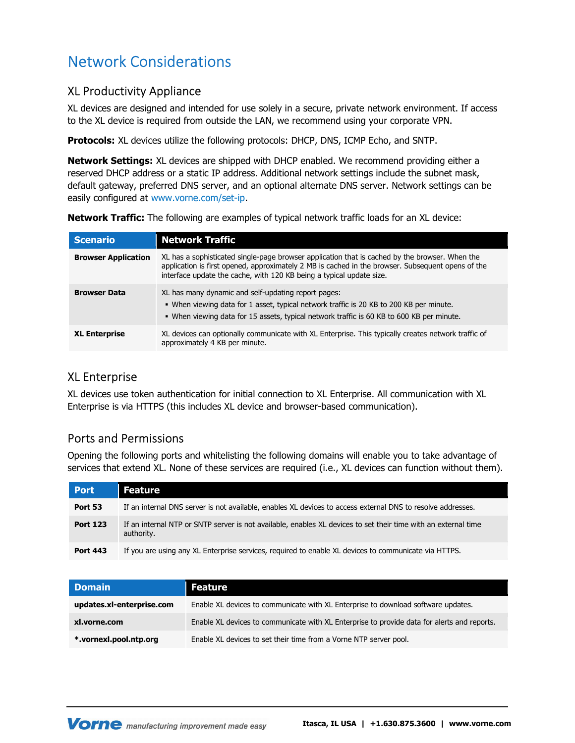# Network Considerations

#### XL Productivity Appliance

XL devices are designed and intended for use solely in a secure, private network environment. If access to the XL device is required from outside the LAN, we recommend using your corporate VPN.

Protocols: XL devices utilize the following protocols: DHCP, DNS, ICMP Echo, and SNTP.

Network Settings: XL devices are shipped with DHCP enabled. We recommend providing either a reserved DHCP address or a static IP address. Additional network settings include the subnet mask, default gateway, preferred DNS server, and an optional alternate DNS server. Network settings can be easily configured at www.vorne.com/set-ip.

**Network Traffic:** The following are examples of typical network traffic loads for an XL device:

| <b>Scenario</b>            | <b>Network Traffic</b>                                                                                                                                                                                                                                                      |
|----------------------------|-----------------------------------------------------------------------------------------------------------------------------------------------------------------------------------------------------------------------------------------------------------------------------|
| <b>Browser Application</b> | XL has a sophisticated single-page browser application that is cached by the browser. When the<br>application is first opened, approximately 2 MB is cached in the browser. Subsequent opens of the<br>interface update the cache, with 120 KB being a typical update size. |
| <b>Browser Data</b>        | XL has many dynamic and self-updating report pages:<br>. When viewing data for 1 asset, typical network traffic is 20 KB to 200 KB per minute.<br>. When viewing data for 15 assets, typical network traffic is 60 KB to 600 KB per minute.                                 |
| <b>XL Enterprise</b>       | XL devices can optionally communicate with XL Enterprise. This typically creates network traffic of<br>approximately 4 KB per minute.                                                                                                                                       |

#### XL Enterprise

XL devices use token authentication for initial connection to XL Enterprise. All communication with XL Enterprise is via HTTPS (this includes XL device and browser-based communication).

#### Ports and Permissions

Opening the following ports and whitelisting the following domains will enable you to take advantage of services that extend XL. None of these services are required (i.e., XL devices can function without them).

| Port            | <b>Feature</b>                                                                                                               |
|-----------------|------------------------------------------------------------------------------------------------------------------------------|
| Port 53         | If an internal DNS server is not available, enables XL devices to access external DNS to resolve addresses.                  |
| <b>Port 123</b> | If an internal NTP or SNTP server is not available, enables XL devices to set their time with an external time<br>authority. |
| <b>Port 443</b> | If you are using any XL Enterprise services, required to enable XL devices to communicate via HTTPS.                         |

| <b>Domain</b>             | Feature                                                                                     |
|---------------------------|---------------------------------------------------------------------------------------------|
| updates.xl-enterprise.com | Enable XL devices to communicate with XL Enterprise to download software updates.           |
| xl.vorne.com              | Enable XL devices to communicate with XL Enterprise to provide data for alerts and reports. |
| * vornexl pool ntp.org    | Enable XL devices to set their time from a Vorne NTP server pool.                           |